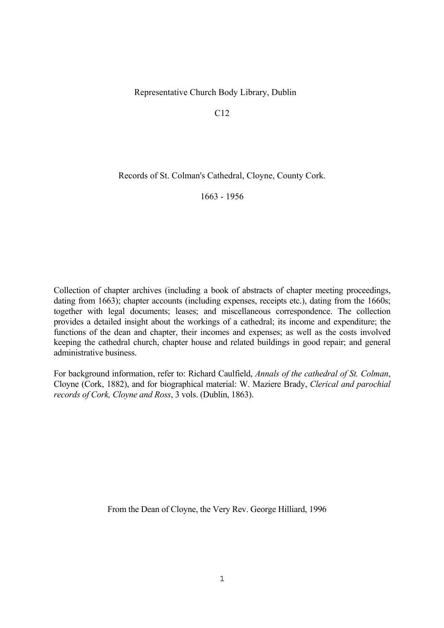Representative Church Body Library, Dublin

C12

Records of St. Colman's Cathedral, Cloyne, County Cork.

1663 - 1956

Collection of chapter archives (including a book of abstracts of chapter meeting proceedings, dating from 1663); chapter accounts (including expenses, receipts etc.), dating from the 1660s; together with legal documents; leases; and miscellaneous correspondence. The collection provides a detailed insight about the workings of a cathedral; its income and expenditure; the functions of the dean and chapter, their incomes and expenses; as well as the costs involved keeping the cathedral church, chapter house and related buildings in good repair; and general administrative business.

For background information, refer to: Richard Caulfield, *Annals of the cathedral of St. Colman*, Cloyne (Cork, 1882), and for biographical material: W. Maziere Brady, *Clerical and parochial records of Cork, Cloyne and Ross*, 3 vols. (Dublin, 1863).

From the Dean of Cloyne, the Very Rev. George Hilliard, 1996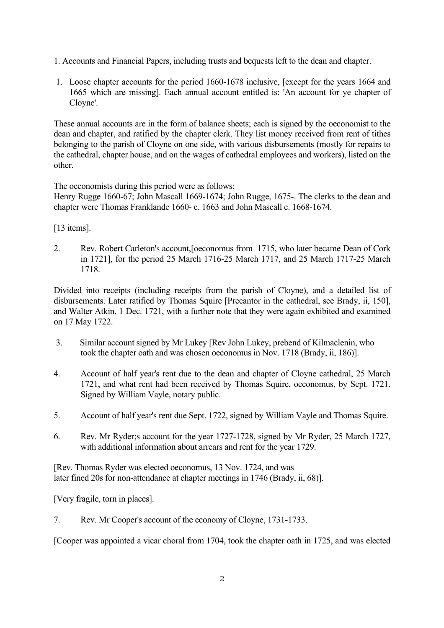- 1. Accounts and Financial Papers, including trusts and bequests left to the dean and chapter.
- 1. Loose chapter accounts for the period 1660-1678 inclusive, [except for the years 1664 and 1665 which are missing]. Each annual account entitled is: 'An account for ye chapter of Cloyne'.

These annual accounts are in the form of balance sheets; each is signed by the oeconomist to the dean and chapter, and ratified by the chapter clerk. They list money received from rent of tithes belonging to the parish of Cloyne on one side, with various disbursements (mostly for repairs to the cathedral, chapter house, and on the wages of cathedral employees and workers), listed on the other.

The oeconomists during this period were as follows:

Henry Rugge 1660-67; John Mascall 1669-1674; John Rugge, 1675-. The clerks to the dean and chapter were Thomas Franklande 1660- c. 1663 and John Mascall c. 1668-1674.

[13 items].

2. Rev. Robert Carleton's account,[oeconomus from 1715, who later became Dean of Cork in 1721], for the period 25 March 1716-25 March 1717, and 25 March 1717-25 March 1718.

Divided into receipts (including receipts from the parish of Cloyne), and a detailed list of disbursements. Later ratified by Thomas Squire [Precantor in the cathedral, see Brady, ii, 150], and Walter Atkin, 1 Dec. 1721, with a further note that they were again exhibited and examined on 17 May 1722.

- 3. Similar account signed by Mr Lukey [Rev John Lukey, prebend of Kilmaclenin, who took the chapter oath and was chosen oeconomus in Nov. 1718 (Brady, ii, 186)].
- 4. Account of half year's rent due to the dean and chapter of Cloyne cathedral, 25 March 1721, and what rent had been received by Thomas Squire, oeconomus, by Sept. 1721. Signed by William Vayle, notary public.
- 5. Account of half year's rent due Sept. 1722, signed by William Vayle and Thomas Squire.
- 6. Rev. Mr Ryder;s account for the year 1727-1728, signed by Mr Ryder, 25 March 1727, with additional information about arrears and rent for the year 1729.

[Rev. Thomas Ryder was elected oeconomus, 13 Nov. 1724, and was later fined 20s for non-attendance at chapter meetings in 1746 (Brady, ii, 68)].

[Very fragile, torn in places].

7. Rev. Mr Cooper's account of the economy of Cloyne, 1731-1733.

[Cooper was appointed a vicar choral from 1704, took the chapter oath in 1725, and was elected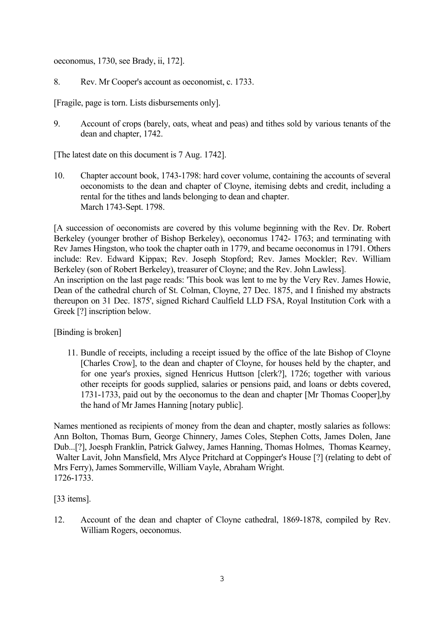oeconomus, 1730, see Brady, ii, 172].

8. Rev. Mr Cooper's account as oeconomist, c. 1733.

[Fragile, page is torn. Lists disbursements only].

9. Account of crops (barely, oats, wheat and peas) and tithes sold by various tenants of the dean and chapter, 1742.

[The latest date on this document is 7 Aug. 1742].

10. Chapter account book, 1743-1798: hard cover volume, containing the accounts of several oeconomists to the dean and chapter of Cloyne, itemising debts and credit, including a rental for the tithes and lands belonging to dean and chapter. March 1743-Sept. 1798.

[A succession of oeconomists are covered by this volume beginning with the Rev. Dr. Robert Berkeley (younger brother of Bishop Berkeley), oeconomus 1742- 1763; and terminating with Rev James Hingston, who took the chapter oath in 1779, and became oeconomus in 1791. Others include: Rev. Edward Kippax; Rev. Joseph Stopford; Rev. James Mockler; Rev. William Berkeley (son of Robert Berkeley), treasurer of Cloyne; and the Rev. John Lawless].

An inscription on the last page reads: 'This book was lent to me by the Very Rev. James Howie, Dean of the cathedral church of St. Colman, Cloyne, 27 Dec. 1875, and I finished my abstracts thereupon on 31 Dec. 1875', signed Richard Caulfield LLD FSA, Royal Institution Cork with a Greek [?] inscription below.

[Binding is broken]

11. Bundle of receipts, including a receipt issued by the office of the late Bishop of Cloyne [Charles Crow], to the dean and chapter of Cloyne, for houses held by the chapter, and for one year's proxies, signed Henricus Huttson [clerk?], 1726; together with various other receipts for goods supplied, salaries or pensions paid, and loans or debts covered, 1731-1733, paid out by the oeconomus to the dean and chapter [Mr Thomas Cooper],by the hand of Mr James Hanning [notary public].

Names mentioned as recipients of money from the dean and chapter, mostly salaries as follows: Ann Bolton, Thomas Burn, George Chinnery, James Coles, Stephen Cotts, James Dolen, Jane Dub...[?], Joesph Franklin, Patrick Galwey, James Hanning, Thomas Holmes, Thomas Kearney, Walter Lavit, John Mansfield, Mrs Alyce Pritchard at Coppinger's House [?] (relating to debt of Mrs Ferry), James Sommerville, William Vayle, Abraham Wright. 1726-1733.

[33 items].

12. Account of the dean and chapter of Cloyne cathedral, 1869-1878, compiled by Rev. William Rogers, oeconomus.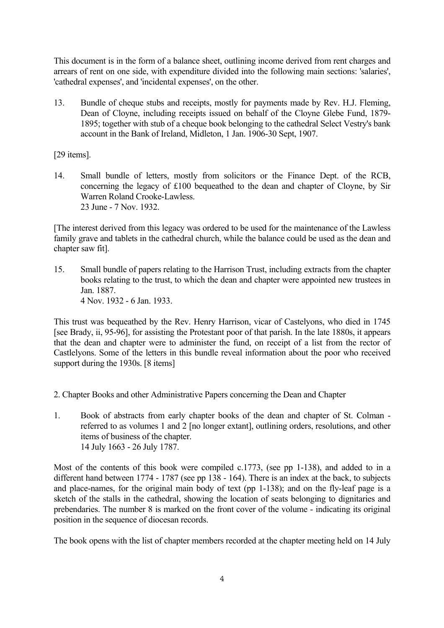This document is in the form of a balance sheet, outlining income derived from rent charges and arrears of rent on one side, with expenditure divided into the following main sections: 'salaries', 'cathedral expenses', and 'incidental expenses', on the other.

13. Bundle of cheque stubs and receipts, mostly for payments made by Rev. H.J. Fleming, Dean of Cloyne, including receipts issued on behalf of the Cloyne Glebe Fund, 1879- 1895; together with stub of a cheque book belonging to the cathedral Select Vestry's bank account in the Bank of Ireland, Midleton, 1 Jan. 1906-30 Sept, 1907.

[29 items].

14. Small bundle of letters, mostly from solicitors or the Finance Dept. of the RCB, concerning the legacy of £100 bequeathed to the dean and chapter of Cloyne, by Sir Warren Roland Crooke-Lawless. 23 June - 7 Nov. 1932.

[The interest derived from this legacy was ordered to be used for the maintenance of the Lawless family grave and tablets in the cathedral church, while the balance could be used as the dean and chapter saw fit].

15. Small bundle of papers relating to the Harrison Trust, including extracts from the chapter books relating to the trust, to which the dean and chapter were appointed new trustees in Jan. 1887. 4 Nov. 1932 - 6 Jan. 1933.

This trust was bequeathed by the Rev. Henry Harrison, vicar of Castelyons, who died in 1745 [see Brady, ii, 95-96], for assisting the Protestant poor of that parish. In the late 1880s, it appears that the dean and chapter were to administer the fund, on receipt of a list from the rector of Castlelyons. Some of the letters in this bundle reveal information about the poor who received support during the 1930s. [8 items]

- 2. Chapter Books and other Administrative Papers concerning the Dean and Chapter
- 1. Book of abstracts from early chapter books of the dean and chapter of St. Colman referred to as volumes 1 and 2 [no longer extant], outlining orders, resolutions, and other items of business of the chapter. 14 July 1663 - 26 July 1787.

Most of the contents of this book were compiled c.1773, (see pp 1-138), and added to in a different hand between 1774 - 1787 (see pp 138 - 164). There is an index at the back, to subjects and place-names, for the original main body of text (pp 1-138); and on the fly-leaf page is a sketch of the stalls in the cathedral, showing the location of seats belonging to dignitaries and prebendaries. The number 8 is marked on the front cover of the volume - indicating its original position in the sequence of diocesan records.

The book opens with the list of chapter members recorded at the chapter meeting held on 14 July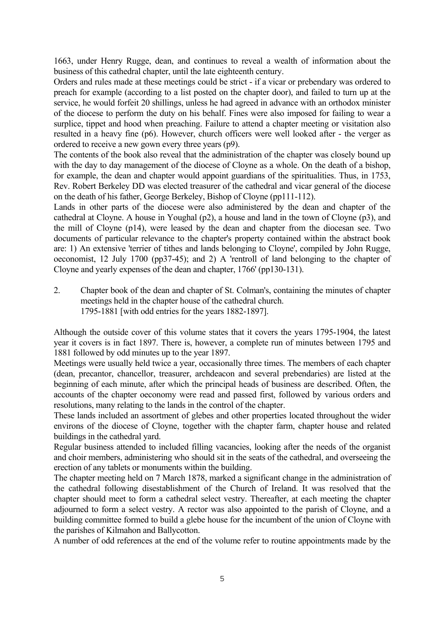1663, under Henry Rugge, dean, and continues to reveal a wealth of information about the business of this cathedral chapter, until the late eighteenth century.

Orders and rules made at these meetings could be strict - if a vicar or prebendary was ordered to preach for example (according to a list posted on the chapter door), and failed to turn up at the service, he would forfeit 20 shillings, unless he had agreed in advance with an orthodox minister of the diocese to perform the duty on his behalf. Fines were also imposed for failing to wear a surplice, tippet and hood when preaching. Failure to attend a chapter meeting or visitation also resulted in a heavy fine (p6). However, church officers were well looked after - the verger as ordered to receive a new gown every three years (p9).

The contents of the book also reveal that the administration of the chapter was closely bound up with the day to day management of the diocese of Cloyne as a whole. On the death of a bishop, for example, the dean and chapter would appoint guardians of the spiritualities. Thus, in 1753, Rev. Robert Berkeley DD was elected treasurer of the cathedral and vicar general of the diocese on the death of his father, George Berkeley, Bishop of Cloyne (pp111-112).

Lands in other parts of the diocese were also administered by the dean and chapter of the cathedral at Cloyne. A house in Youghal (p2), a house and land in the town of Cloyne (p3), and the mill of Cloyne (p14), were leased by the dean and chapter from the diocesan see. Two documents of particular relevance to the chapter's property contained within the abstract book are: 1) An extensive 'terrier of tithes and lands belonging to Cloyne', compiled by John Rugge, oeconomist, 12 July 1700 (pp37-45); and 2) A 'rentroll of land belonging to the chapter of Cloyne and yearly expenses of the dean and chapter, 1766' (pp130-131).

2. Chapter book of the dean and chapter of St. Colman's, containing the minutes of chapter meetings held in the chapter house of the cathedral church. 1795-1881 [with odd entries for the years 1882-1897].

Although the outside cover of this volume states that it covers the years 1795-1904, the latest year it covers is in fact 1897. There is, however, a complete run of minutes between 1795 and 1881 followed by odd minutes up to the year 1897.

Meetings were usually held twice a year, occasionally three times. The members of each chapter (dean, precantor, chancellor, treasurer, archdeacon and several prebendaries) are listed at the beginning of each minute, after which the principal heads of business are described. Often, the accounts of the chapter oeconomy were read and passed first, followed by various orders and resolutions, many relating to the lands in the control of the chapter.

These lands included an assortment of glebes and other properties located throughout the wider environs of the diocese of Cloyne, together with the chapter farm, chapter house and related buildings in the cathedral yard.

Regular business attended to included filling vacancies, looking after the needs of the organist and choir members, administering who should sit in the seats of the cathedral, and overseeing the erection of any tablets or monuments within the building.

The chapter meeting held on 7 March 1878, marked a significant change in the administration of the cathedral following disestablishment of the Church of Ireland. It was resolved that the chapter should meet to form a cathedral select vestry. Thereafter, at each meeting the chapter adjourned to form a select vestry. A rector was also appointed to the parish of Cloyne, and a building committee formed to build a glebe house for the incumbent of the union of Cloyne with the parishes of Kilmahon and Ballycotton.

A number of odd references at the end of the volume refer to routine appointments made by the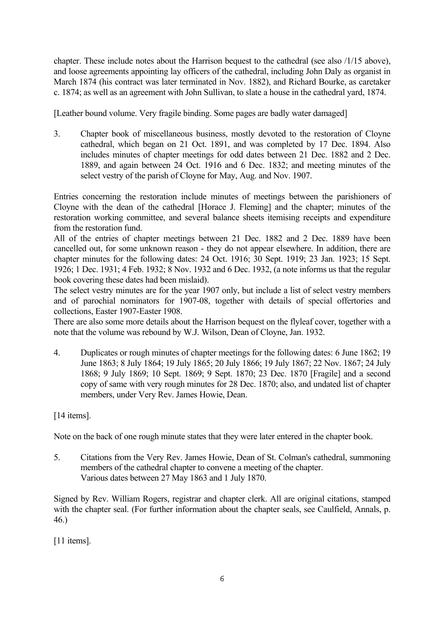chapter. These include notes about the Harrison bequest to the cathedral (see also /1/15 above), and loose agreements appointing lay officers of the cathedral, including John Daly as organist in March 1874 (his contract was later terminated in Nov. 1882), and Richard Bourke, as caretaker c. 1874; as well as an agreement with John Sullivan, to slate a house in the cathedral yard, 1874.

[Leather bound volume. Very fragile binding. Some pages are badly water damaged]

3. Chapter book of miscellaneous business, mostly devoted to the restoration of Cloyne cathedral, which began on 21 Oct. 1891, and was completed by 17 Dec. 1894. Also includes minutes of chapter meetings for odd dates between 21 Dec. 1882 and 2 Dec. 1889, and again between 24 Oct. 1916 and 6 Dec. 1832; and meeting minutes of the select vestry of the parish of Cloyne for May, Aug. and Nov. 1907.

Entries concerning the restoration include minutes of meetings between the parishioners of Cloyne with the dean of the cathedral [Horace J. Fleming] and the chapter; minutes of the restoration working committee, and several balance sheets itemising receipts and expenditure from the restoration fund.

All of the entries of chapter meetings between 21 Dec. 1882 and 2 Dec. 1889 have been cancelled out, for some unknown reason - they do not appear elsewhere. In addition, there are chapter minutes for the following dates: 24 Oct. 1916; 30 Sept. 1919; 23 Jan. 1923; 15 Sept. 1926; 1 Dec. 1931; 4 Feb. 1932; 8 Nov. 1932 and 6 Dec. 1932, (a note informs us that the regular book covering these dates had been mislaid).

The select vestry minutes are for the year 1907 only, but include a list of select vestry members and of parochial nominators for 1907-08, together with details of special offertories and collections, Easter 1907-Easter 1908.

There are also some more details about the Harrison bequest on the flyleaf cover, together with a note that the volume was rebound by W.J. Wilson, Dean of Cloyne, Jan. 1932.

4. Duplicates or rough minutes of chapter meetings for the following dates: 6 June 1862; 19 June 1863; 8 July 1864; 19 July 1865; 20 July 1866; 19 July 1867; 22 Nov. 1867; 24 July 1868; 9 July 1869; 10 Sept. 1869; 9 Sept. 1870; 23 Dec. 1870 [Fragile] and a second copy of same with very rough minutes for 28 Dec. 1870; also, and undated list of chapter members, under Very Rev. James Howie, Dean.

[14 items].

Note on the back of one rough minute states that they were later entered in the chapter book.

5. Citations from the Very Rev. James Howie, Dean of St. Colman's cathedral, summoning members of the cathedral chapter to convene a meeting of the chapter. Various dates between 27 May 1863 and 1 July 1870.

Signed by Rev. William Rogers, registrar and chapter clerk. All are original citations, stamped with the chapter seal. (For further information about the chapter seals, see Caulfield, Annals, p. 46.)

[11 items].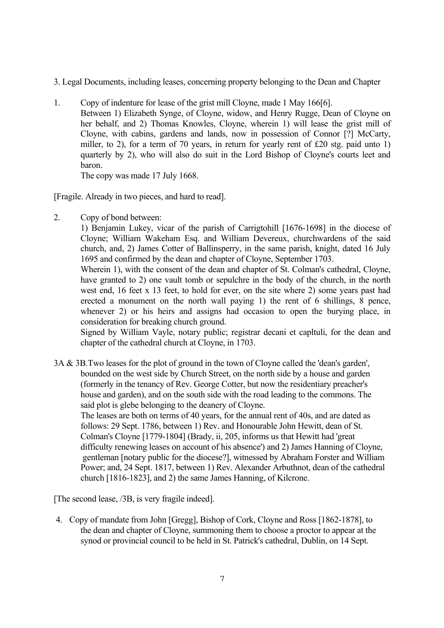- 3. Legal Documents, including leases, concerning property belonging to the Dean and Chapter
- 1. Copy of indenture for lease of the grist mill Cloyne, made 1 May 166[6]. Between 1) Elizabeth Synge, of Cloyne, widow, and Henry Rugge, Dean of Cloyne on her behalf, and 2) Thomas Knowles, Cloyne, wherein 1) will lease the grist mill of Cloyne, with cabins, gardens and lands, now in possession of Connor [?] McCarty, miller, to 2), for a term of 70 years, in return for yearly rent of £20 stg. paid unto 1) quarterly by 2), who will also do suit in the Lord Bishop of Cloyne's courts leet and baron.

The copy was made 17 July 1668.

[Fragile. Already in two pieces, and hard to read].

2. Copy of bond between:

1) Benjamin Lukey, vicar of the parish of Carrigtohill [1676-1698] in the diocese of Cloyne; William Wakeham Esq. and William Devereux, churchwardens of the said church, and, 2) James Cotter of Ballinsperry, in the same parish, knight, dated 16 July 1695 and confirmed by the dean and chapter of Cloyne, September 1703.

Wherein 1), with the consent of the dean and chapter of St. Colman's cathedral, Cloyne, have granted to 2) one vault tomb or sepulchre in the body of the church, in the north west end, 16 feet x 13 feet, to hold for ever, on the site where 2) some years past had erected a monument on the north wall paying 1) the rent of 6 shillings, 8 pence, whenever 2) or his heirs and assigns had occasion to open the burying place, in consideration for breaking church ground.

Signed by William Vayle, notary public; registrar decani et capltuli, for the dean and chapter of the cathedral church at Cloyne, in 1703.

3A & 3B.Two leases for the plot of ground in the town of Cloyne called the 'dean's garden', bounded on the west side by Church Street, on the north side by a house and garden (formerly in the tenancy of Rev. George Cotter, but now the residentiary preacher's house and garden), and on the south side with the road leading to the commons. The said plot is glebe belonging to the deanery of Cloyne.

 The leases are both on terms of 40 years, for the annual rent of 40s, and are dated as follows: 29 Sept. 1786, between 1) Rev. and Honourable John Hewitt, dean of St. Colman's Cloyne [1779-1804] (Brady, ii, 205, informs us that Hewitt had 'great difficulty renewing leases on account of his absence') and 2) James Hanning of Cloyne, gentleman [notary public for the diocese?], witnessed by Abraham Forster and William Power; and, 24 Sept. 1817, between 1) Rev. Alexander Arbuthnot, dean of the cathedral church [1816-1823], and 2) the same James Hanning, of Kilcrone.

[The second lease, /3B, is very fragile indeed].

4. Copy of mandate from John [Gregg], Bishop of Cork, Cloyne and Ross [1862-1878], to the dean and chapter of Cloyne, summoning them to choose a proctor to appear at the synod or provincial council to be held in St. Patrick's cathedral, Dublin, on 14 Sept.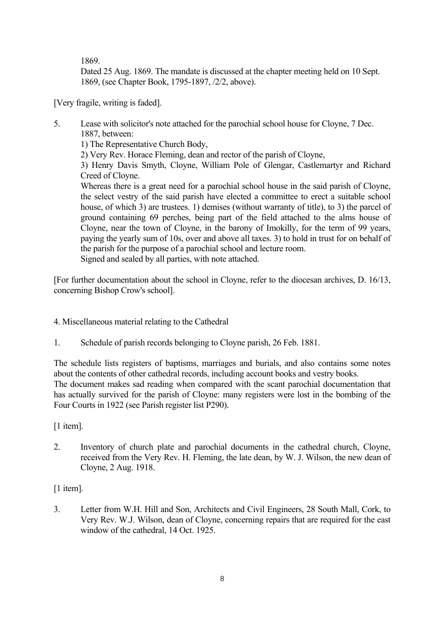1869.

 Dated 25 Aug. 1869. The mandate is discussed at the chapter meeting held on 10 Sept. 1869, (see Chapter Book, 1795-1897, /2/2, above).

[Very fragile, writing is faded].

5. Lease with solicitor's note attached for the parochial school house for Cloyne, 7 Dec. 1887, between:

1) The Representative Church Body,

2) Very Rev. Horace Fleming, dean and rector of the parish of Cloyne,

3) Henry Davis Smyth, Cloyne, William Pole of Glengar, Castlemartyr and Richard Creed of Cloyne.

Whereas there is a great need for a parochial school house in the said parish of Cloyne, the select vestry of the said parish have elected a committee to erect a suitable school house, of which 3) are trustees. 1) demises (without warranty of title), to 3) the parcel of ground containing 69 perches, being part of the field attached to the alms house of Cloyne, near the town of Cloyne, in the barony of Imokilly, for the term of 99 years, paying the yearly sum of 10s, over and above all taxes. 3) to hold in trust for on behalf of the parish for the purpose of a parochial school and lecture room. Signed and sealed by all parties, with note attached.

[For further documentation about the school in Cloyne, refer to the diocesan archives, D. 16/13, concerning Bishop Crow's school].

- 4. Miscellaneous material relating to the Cathedral
- 1. Schedule of parish records belonging to Cloyne parish, 26 Feb. 1881.

The schedule lists registers of baptisms, marriages and burials, and also contains some notes about the contents of other cathedral records, including account books and vestry books. The document makes sad reading when compared with the scant parochial documentation that has actually survived for the parish of Cloyne: many registers were lost in the bombing of the Four Courts in 1922 (see Parish register list P290).

[1 item].

2. Inventory of church plate and parochial documents in the cathedral church, Cloyne, received from the Very Rev. H. Fleming, the late dean, by W. J. Wilson, the new dean of Cloyne, 2 Aug. 1918.

[1 item].

3. Letter from W.H. Hill and Son, Architects and Civil Engineers, 28 South Mall, Cork, to Very Rev. W.J. Wilson, dean of Cloyne, concerning repairs that are required for the east window of the cathedral, 14 Oct. 1925.